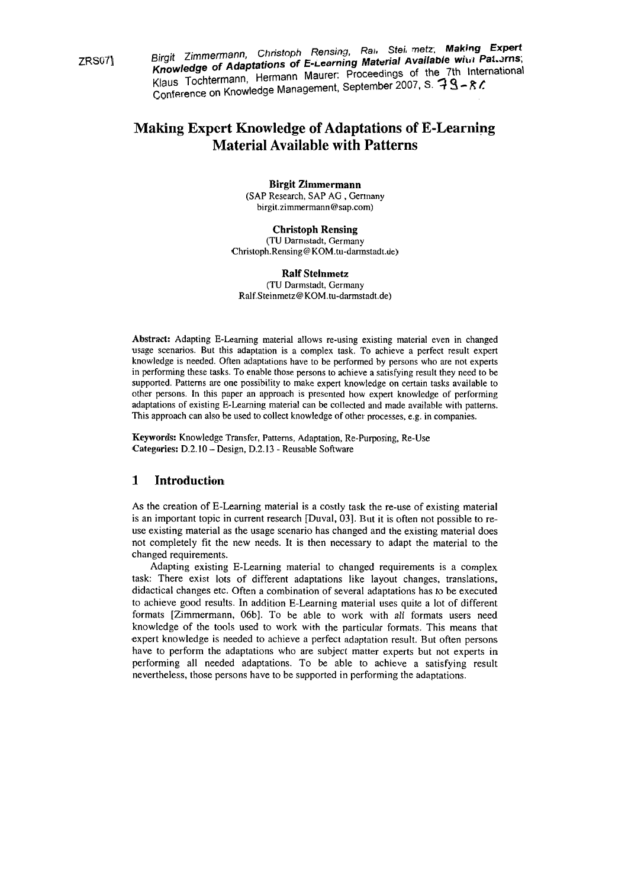ZRS071 **Birgit** Zimmermann, Chhtoph Rensing, Rai. Stei. netz; **Making Expert Knowledge of Adaptations of E-Learning Material Available with International** Klaus Tochtermann, Hermann Maurer: Proceedings of  $\alpha$  and  $\alpha$  and  $\alpha$ Confarence on Knowledge Management. September 2007. S. **7 Q** - R /:

# **Making Expert Knowledge of Adaptations of E-Learning Material Available with Patterns**

**Birgit Zimmermann**  (SAP Research, SAP AG , Germany birgit.zimmermann@sap.com)

**Christoph Rensing**  (TU Darmstadt, Germany **Christoph.Rensing@KOM.tu-darmstadt.de)** 

**Ralf Steinmetz**  (TU Darmstadt, Germany  $Ralf.Steinmetz@KOM.tu-darmstadt.de)$ 

Abstract: Adapting E-Learning material allows re-using existing material even in changed usage scenarios. But this adaptation is a complex task. To achieve a perfect result expert knowledge is needed. Often adaptations have to be performed by persons who are not experts in perforrning these tasks. To enable those persons to achieve a satisfying result they need to be supported. Patterns are one possibility to make expert knowledge on certain tasks available to other persons. In this paper an approach is presented how expert knowledge of performing adaptations of existing E-Learning material can be collected and made available with patterns. This approach can also be used to collect knowledge of other processes, e.g. in companies.

Keywords: Knowledge Transfer, Patterns, Adaptation, Re-Purposing, Re-Use Categories: D.2.10 - Design, D.2.13 - Reusable Software

# **1 Introduction**

As the creation of E-Learning material is a costly task the re-use of existing material is an important topic in current research [Duval, 031. But it is often not possible to reuse existing material as the usage scenario has changed and the existing material does not completely fit the new needs. It is then necessary to adapt the material to the changed requirements.

Adapting existing E-Learning material to changed requirements is a complex task: There exist lots of different adaptations like layout changes, translations, didactical changes etc. Often a combination of several adaptations has to be executed to achieve good results. In addition E-Learning material uses quite a lot of different formats [Zimmermann, 06b]. To be able to work with all formats users need knowledge of the tools used to work with the particular formats. This means that expert knowledge is needed to achieve a perfect adaptation result. But often persons have to perform the adaptations who are subject matter experts but not experts in performing all needed adaptations. To be able to achieve a satisfying result nevertheless, those persons have to be supported in performing the adaptations.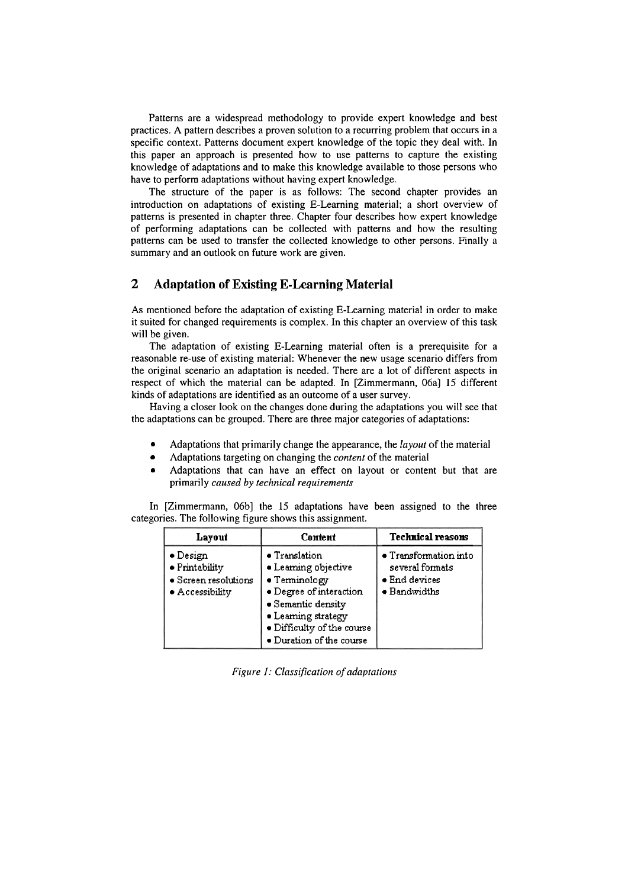Patterns are a widespread methodology to provide expert knowledge and best practices. A Pattern describes a proven solution to a recurring problem that occurs in a specific context. Patterns document expert knowledge of the topic they deal with. In this paper an approach is presented how to use patterns to capture the existing knowledge of adaptations and to make this knowledge available to those persons who have to perform adaptations without having expert knowledge.

The structure of the paper is as follows: The second chapter provides an introduction on adaptations of existing E-Learning material; a short overview of patterns is presented in chapter three. Chapter four describes how expert knowledge of performing adaptations can be collected with patterns and how the resulting patterns can be used to transfer the collected knowledge to other persons. Finally a summary and an outlook on future work are given.

### **2 Adaptation of Existing E-Learning Material**

As mentioned before the adaptation of existing E-Learning material in order to make it suited for changed requirements is complex. In this chapter an overview of this task will be given.

The adaptation of existing E-Learning material often is a prerequisite for a reasonable re-use of existing material: Whenever the new usage scenario differs from the original scenario an adaptation is needed. There are a lot of different aspects in respect of which the material can be adapted. In [Zimmermann, OGa] 15 different kinds of adaptations are identified as an outcome of a user survey.

Having a closer look on the changes done during the adaptations you will see that the adaptations can be grouped. There are three major categories of adaptations:

- Adaptations that primarily change the appearance, the *layout* of the material
- Adaptations targeting on changing the *content* of the material  $\bullet$
- Adaptations that can have an effect on layout or content but that are primarily *caused by technical requirements*

In [Zimmermann, Obb] the 15 adaptations have been assigned to the three categories. The following figure shows this assignment.

| Layout                                                                                | Content                                                                                                                                                                                          | <b>Technical reasons</b>                                                                  |
|---------------------------------------------------------------------------------------|--------------------------------------------------------------------------------------------------------------------------------------------------------------------------------------------------|-------------------------------------------------------------------------------------------|
| $\bullet$ Design<br>· Printability<br>• Screen resolutions<br>$\bullet$ Accessibility | $\bullet$ Translation<br>• Learning objective<br>• Terminology<br>· Degree of interaction<br>· Semantic density<br>· Learning strategy<br>· Difficulty of the course<br>· Duration of the course | $\bullet$ Transformation into<br>several formats<br>· End devices<br>$\bullet$ Bandwidths |

*Figure 1: Classification of adaptations*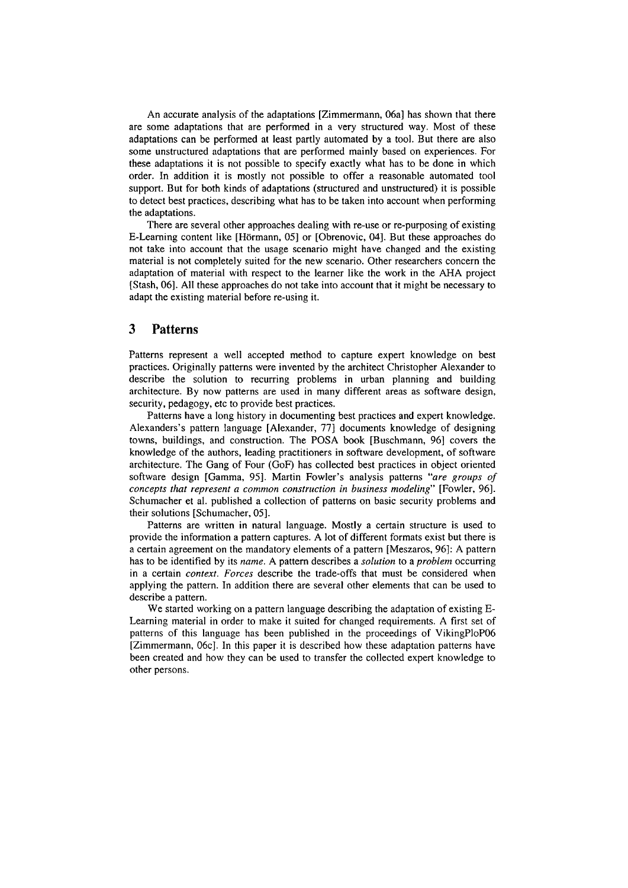An accurate analysis of the adaptations [Zimmermann, 06a] has shown that there are some adaptations that are performed in a very structured way. Most of these adaptations can be performed at least partly automated by a tool. But there are also some unstructured adaptations that are performed mainly based on experiences. For these adaptations it is not possible to specify exactly what has to be done in which order. In addition it is mostly not possible to offer a reasonable automated tool support. But for both kinds of adaptations (structured and unstructured) it is possible to detect best practices, describing what has to be taken into account when performing the adaptations.

There are several other approaches dealing with re-use or re-purposing of existing E-Learning content like [Hörmann, 051 or [Obrenovic, 041. But these approaches do not take into account that the usage scenario might have changed and the existing material is not completely suited for the new scenario. Other researchers concern the adaptation of material with respect to the learner like the work in the AHA project [Stash, 06]. All these approaches do not take into account that it might be necessary to adapt the existing material before re-using it.

### **3 Patterns**

Patterns represent a well accepted method to capture expert knowledge on best practices. Originally patterns were invented by the architect Christopher Alexander to describe the solution to recurring problems in urban planning and building architecture. By now patterns are used in many different areas as software design, security, pedagogy, etc to provide best practices.

Patterns have a long history in documenting best practices and expert knowledge. Alexanders's pattern language [Alexander, 771 documents knowledge of designing towns, buildings, and construction. The POSA book [Buschmann, 96] covers the knowledge of the authors, leading practitioners in software development, of software architecture. The Gang of Four (GOF) has collected best practices in object oriented software design [Gamma, 951. Martin Fowler's analysis patterns *'are groups of concepts that represent a common construction in business modeling"* [Fowler, 961. Schumacher et al. published a collection of patterns on basic security problems and their solutions [Schumacher, OS].

Patterns are written in natural language. Mostly a certain structure is used to provide the information a pattern captures. A lot of different formats exist but there is a certain agreement on the mandatory elements of a pattern [Meszaros, 961: A pattern has to be identified by its *name*. A pattern describes a *solution* to a *problem* occurring in a certain *context. Forces* describe the trade-offs that must be considered when applying the pattern. In addition there are several other elements that can be used to describe a pattern.

We started working on a pattern language describing the adaptation of existing E-Learning material in order to make it suited for changed requirements. A first set of patterns of this language has been published in the proceedings of VikingPloPO6 [Zimmermann, 06 $c$ ]. In this paper it is described how these adaptation patterns have been created and how they can be used to transfer the collected expert knowledge to other persons.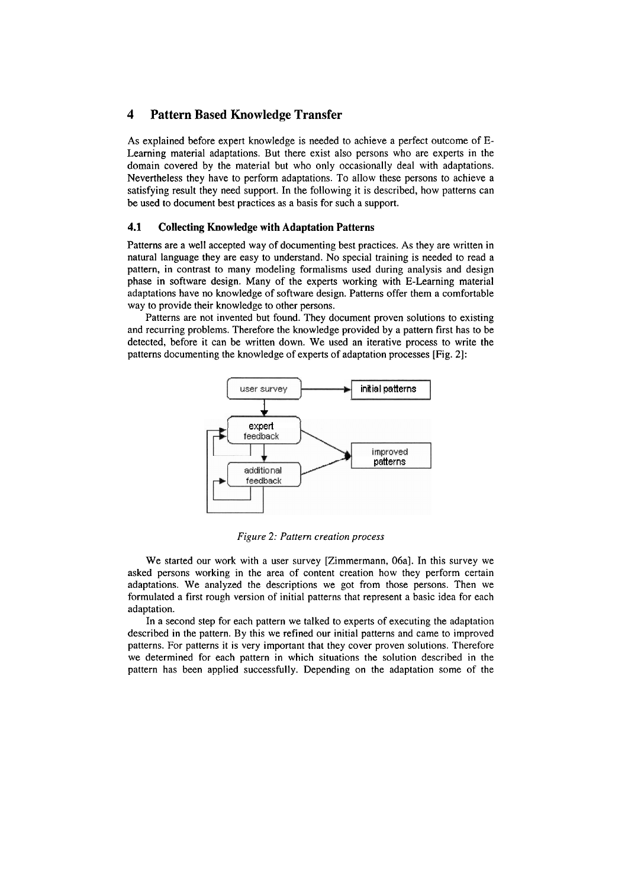# **4 Pattern Based Knowledge Transfer**

As explained before expert knowledge is needed to achieve a perfect outcome of E-Learning material adaptations. But there exist also persons who are experts in the domain covered by the material but who only occasionally deal with adaptations. Nevertheless they have to perform adaptations. To allow these persons to achieve a satisfying result they need support. In the following it is described, how patterns can be used to document best practices as a basis for such a support.

### **4.1 Collecting Knowledge with Adaptation Patterns**

Patterns are a well accepted way of documenting best practices. As they are written in natural language they are easy to understand. No special training is needed to read a pattern, in contrast to many modeling formalisms used during analysis and design phase in software design. Many of the experts working with E-Learning material adaptations have no knowledge of software design. Patterns offer them a comfortable way to provide their knowledge to other persons.

Patterns are not invented but found. They document proven solutions to existing and recurring problems. Therefore the knowledge provided by a pattern first has to be detected, before it can be written down. We used an iterative process to write the patterns documenting the knowledge of experts of adaptation processes [Fig. 21:



*Figure 2: Pattern creation process* 

We started our work with a user survey [Zimmermann, 06a]. In this survey we asked persons working in the area of content creation how they perform certain adaptations. We analyzed the descriptions we got from those persons. Then we formulated a first rough version of initial patterns that represent a basic idea for each adaptation.

In a second step for each pattern we talked to experts of executing the adaptation described in the pattern. By this we refined our initial patterns and came to improved patterns. For patterns it is very important that they Cover proven solutions. Therefore we determined for each pattern in which situations the solution described in the pattern has been applied successfully. Depending on the adaptation some of the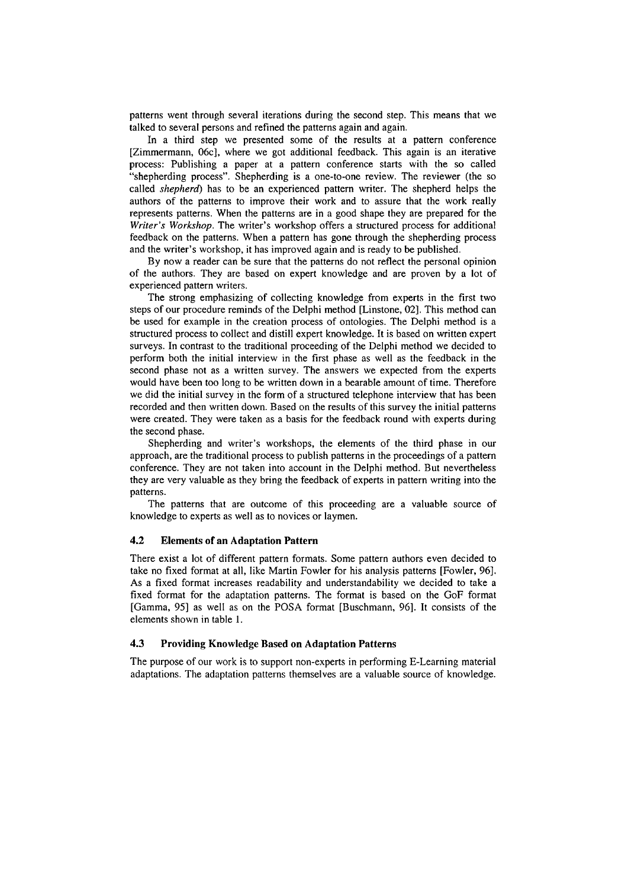patterns went through several iterations during the second step. This means that we talked to several persons and refined the patterns again and again.

In a third step we presented some of the results at a pattern conference [Zimmermann, 06c], where we got additional feedback. This again is an iterative process: Publishing a paper at a pattern conference starts with the so called "shepherding process". Shepherding is a one-to-one review. The reviewer (the so called *shepherd)* has to be an experienced pattern writer. The shepherd helps the authors of the patterns to improve their work and to assure that the work really represents patterns. When the patterns are in a good shape they are prepared for the *Writer's Workshop.* The writer's workshop offers a structured process for additional feedback on the patterns. When a pattern has gone through the shepherding process and the writer's workshop, it has improved again and is ready to be published.

By now a reader can be sure that the patterns do not reflect the personal opinion of the authors. They are based on expert knowledge and are proven by a lot of experienced pattern writers.

The strong emphasizing of collecting knowledge from experts in the first two steps of our procedure reminds of the Delphi method [Linstone, 021. This method can be used for example in the creation process of ontologies. The Delphi method is a structured process to collect and distill expert knowledge. It is based on written expert surveys. In contrast to the traditional proceeding of the Delphi method we decided to perform both the initial interview in the first phase as well as the feedback in the second phase not as a written survey. The answers we expected from the experts would have been too long to be written down in a bearable amount of time. Therefore we did the initial survey in the form of a structured telephone interview that has been recorded and then written down. Based on the results of this survey the initial patterns were created. They were taken as a basis for the feedback round with experts during the second phase.

Shepherding and writer's workshops, the elements of the third phase in our approach, are the traditional process to publish patterns in the proceedings of a pattern conference. They are not taken into account in the Delphi method. But nevertheless they are very valuable as they bring the feedback of experts in pattern writing into the patterns.

The patterns that are outcome of this proceeding are a valuable source of knowledge to experts as well as to novices or laymen.

#### **4.2 Elements of an Adaptation Pattern**

There exist a lot of different pattern formats. Some pattern authors even decided to take no fixed format at all, like Martin Fowler for his analysis patterns [Fowler, 961. As a fixed format increases readability and understandability we decided to take a fixed format for the adaptation patterns. The format is based on the GOF format [Gamma, 951 as well as on the POSA format [Buschmann, 961. It consists of the elements shown in table 1.

#### **4.3 Providing Knowledge Based on Adaptation Patterns**

The purpose of our work is to support non-experts in performing E-Learning material adaptations. The adaptation patterns themselves are a valuable source of knowledge.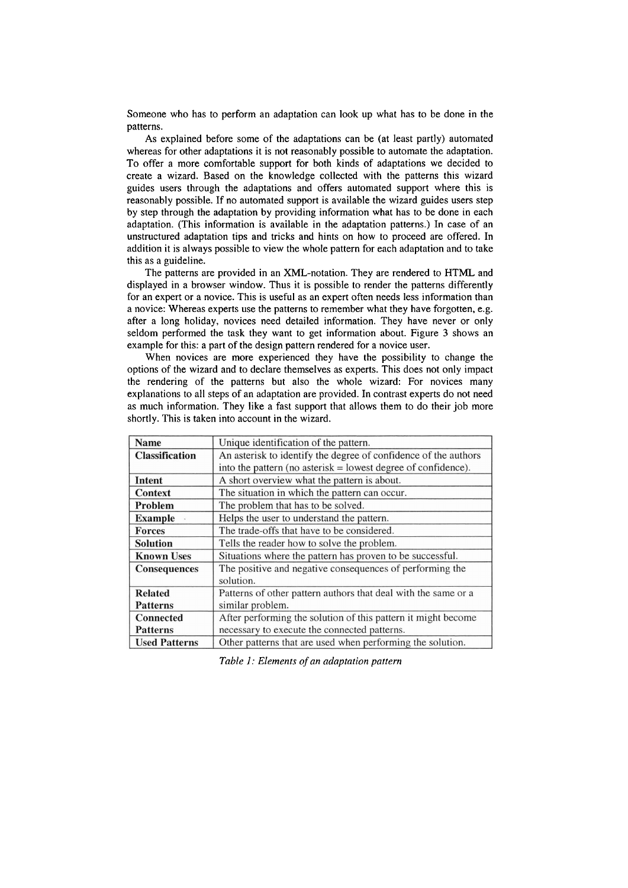Someone who has to perform an adaptation can look up what has to be done in the patterns.

As explained before some of the adaptations can be (at least partly) automated whereas for other adaptations it is not reasonably possible to automate the adaptation. To offer a more comfortable support for both kinds of adaptations we decided to create a wizard. Based on the knowledge collected with the patterns this wizard guides users through the adaptations and offers automated support where this is reasonably possible. If no automated support is available the wizard guides users step by step through the adaptation by providing information what has to be done in each adaptation. (This information is available in the adaptation patterns.) In case of an unstructured adaptation tips and tricks and hints on how to proceed are offered. In addition it is always possible to view the whole pattern for each adaptation and to take this as a guideline.

The patterns are provided in an XML-notation. They are rendered to HTML and displayed in a browser window. Thus it is possible to render the patterns differently for an expert or a novice. This is useful as an expert often needs less information than a novice: Whereas experts use the patterns to remember what they have forgotten, e.g. after a long holiday, novices need detailed information. They have never or only seldom performed the task they Want to get information about. Figure **3** shows an example for this: a part of the design pattern rendered for a novice user.

When novices are more experienced they have the possibility to change the options of the wizard and to declare themselves as experts. This does not only impact the rendering of the patterns but also the whole wizard: For novices many explanations to all steps of an adaptation are provided. In contrast experts do not need as much information. They like a fast support that allows them to do their job more shortly. This is taken into account in the wizard.

| <b>Name</b>           | Unique identification of the pattern.                           |
|-----------------------|-----------------------------------------------------------------|
| <b>Classification</b> | An asterisk to identify the degree of confidence of the authors |
|                       | into the pattern (no asterisk $=$ lowest degree of confidence). |
| Intent                | A short overview what the pattern is about.                     |
| <b>Context</b>        | The situation in which the pattern can occur.                   |
| Problem               | The problem that has to be solved.                              |
| <b>Example</b>        | Helps the user to understand the pattern.                       |
| <b>Forces</b>         | The trade-offs that have to be considered.                      |
| <b>Solution</b>       | Tells the reader how to solve the problem.                      |
| <b>Known Uses</b>     | Situations where the pattern has proven to be successful.       |
| <b>Consequences</b>   | The positive and negative consequences of performing the        |
|                       | solution.                                                       |
| <b>Related</b>        | Patterns of other pattern authors that deal with the same or a  |
| <b>Patterns</b>       | similar problem.                                                |
| <b>Connected</b>      | After performing the solution of this pattern it might become   |
| <b>Patterns</b>       | necessary to execute the connected patterns.                    |
| <b>Used Patterns</b>  | Other patterns that are used when performing the solution.      |

*Table 1: Elements of an aclaptation pattern*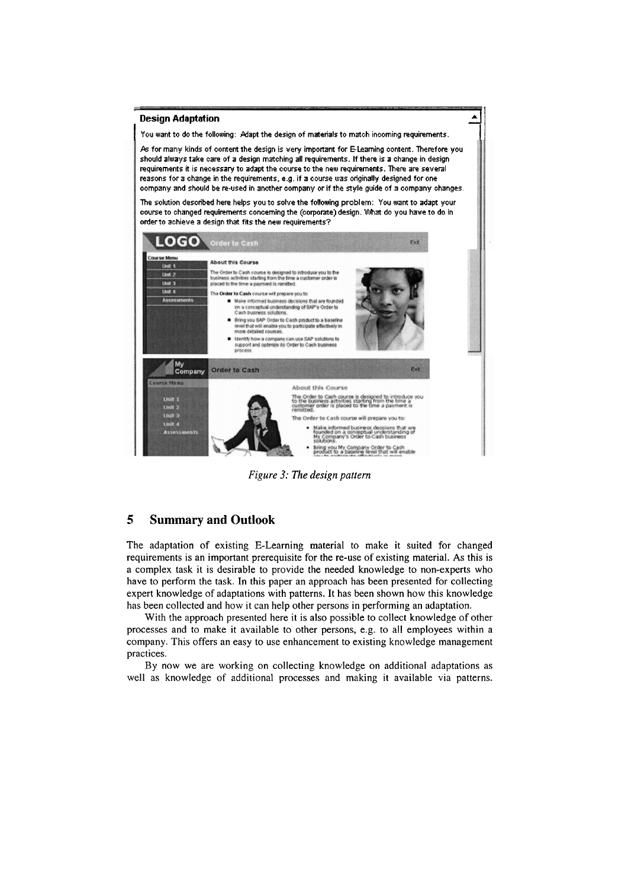

*Figure 3: The design Pattern* 

# **5 Summary and Outlook**

The adaptation of existing E-Learning material to make it suited for changed requirements is an important prerequisite for the re-use of existing material. As this is a complex task it is desirable to provide the needed knowledge to non-experts who have to perform the task. In this paper an approach has been presented for collecting expert knowledge of adaptations with patterns. It has been shown how this knowledge has been collected and how it can help other persons in performing an adaptation.

With the approach presented here it is also possible to collect knowledge of other processes and to make it available to other persons, e.g. to all employees within a company. This offers an easy to use enhancement to existing knowledge management practices.

By now we are working on collecting knowledge on additional adaptations as well as knowledge of additional processes and making it available via patterns.